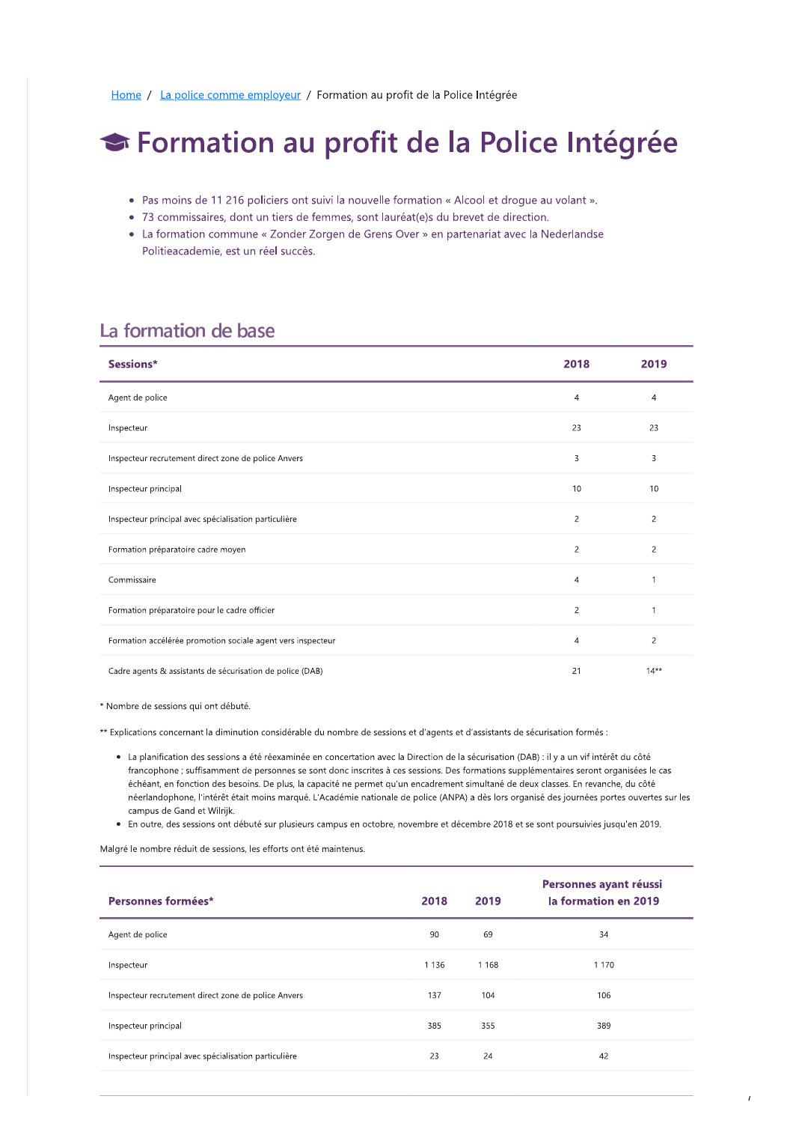Home / La police comme employeur / Formation au profit de la Police Intégrée

# ← Formation au profit de la Police Intégrée

- Pas moins de 11 216 policiers ont suivi la nouvelle formation « Alcool et droque au volant ».
- 73 commissaires, dont un tiers de femmes, sont lauréat(e)s du brevet de direction.
- La formation commune « Zonder Zorgen de Grens Over » en partenariat avec la Nederlandse Politieacademie, est un réel succès.

## La formation de base

| Sessions*                                                   | 2018           | 2019           |
|-------------------------------------------------------------|----------------|----------------|
| Agent de police                                             | $\overline{4}$ | 4              |
| Inspecteur                                                  | 23             | 23             |
| Inspecteur recrutement direct zone de police Anvers         | 3              | 3              |
| Inspecteur principal                                        | 10             | 10             |
| Inspecteur principal avec spécialisation particulière       | $\overline{c}$ | $\overline{c}$ |
| Formation préparatoire cadre moyen                          | $\overline{c}$ | $\overline{c}$ |
| Commissaire                                                 | 4              |                |
| Formation préparatoire pour le cadre officier               | $\overline{c}$ |                |
| Formation accélérée promotion sociale agent vers inspecteur | 4              | $\overline{c}$ |
| Cadre agents & assistants de sécurisation de police (DAB)   | 21             | $14**$         |

\* Nombre de sessions qui ont débuté.

\*\* Explications concernant la diminution considérable du nombre de sessions et d'agents et d'assistants de sécurisation formés :

- La planification des sessions a été réexaminée en concertation avec la Direction de la sécurisation (DAB) : il y a un vif intérêt du côté francophone ; suffisamment de personnes se sont donc inscrites à ces sessions. Des formations supplémentaires seront organisées le cas échéant, en fonction des besoins. De plus, la capacité ne permet qu'un encadrement simultané de deux classes. En revanche, du côté néerlandophone, l'intérêt était moins marqué. L'Académie nationale de police (ANPA) a dès lors organisé des journées portes ouvertes sur les campus de Gand et Wilrijk.
- . En outre, des sessions ont débuté sur plusieurs campus en octobre, novembre et décembre 2018 et se sont poursuivies jusqu'en 2019.

Malgré le nombre réduit de sessions, les efforts ont été maintenus.

| Personnes formées*                                    | 2018    | 2019    | Personnes ayant réussi<br>la formation en 2019 |
|-------------------------------------------------------|---------|---------|------------------------------------------------|
| Agent de police                                       | 90      | 69      | 34                                             |
| Inspecteur                                            | 1 1 3 6 | 1 1 6 8 | 1 1 7 0                                        |
| Inspecteur recrutement direct zone de police Anvers   | 137     | 104     | 106                                            |
| Inspecteur principal                                  | 385     | 355     | 389                                            |
| Inspecteur principal avec spécialisation particulière | 23      | 24      | 42                                             |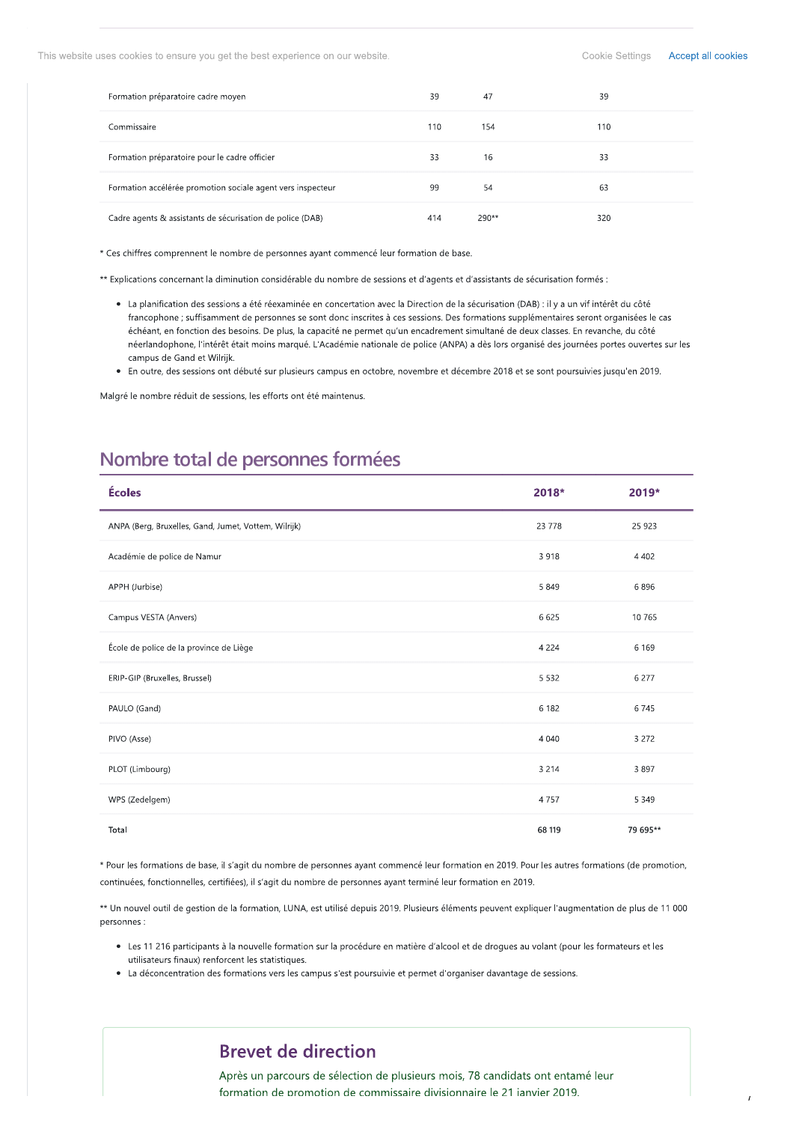This website uses cookies to ensure you get the best experience on our website.

| Formation préparatoire cadre moyen                          | 39  | 47    | 39  |
|-------------------------------------------------------------|-----|-------|-----|
| Commissaire                                                 | 110 | 154   | 110 |
| Formation préparatoire pour le cadre officier               | 33  | 16    | 33  |
| Formation accélérée promotion sociale agent vers inspecteur | 99  | 54    | 63  |
| Cadre agents & assistants de sécurisation de police (DAB)   | 414 | 290** | 320 |

\* Ces chiffres comprennent le nombre de personnes ayant commencé leur formation de base.

\*\* Explications concernant la diminution considérable du nombre de sessions et d'agents et d'assistants de sécurisation formés :

- La planification des sessions a été réexaminée en concertation avec la Direction de la sécurisation (DAB) : il y a un vif intérêt du côté francophone ; suffisamment de personnes se sont donc inscrites à ces sessions. Des formations supplémentaires seront organisées le cas échéant, en fonction des besoins. De plus, la capacité ne permet qu'un encadrement simultané de deux classes. En revanche, du côté néerlandophone, l'intérêt était moins marqué. L'Académie nationale de police (ANPA) a dès lors organisé des journées portes ouvertes sur les campus de Gand et Wilrijk.
- . En outre, des sessions ont débuté sur plusieurs campus en octobre, novembre et décembre 2018 et se sont poursuivies jusqu'en 2019.

Malgré le nombre réduit de sessions, les efforts ont été maintenus.

# Nombre total de personnes formées

| Écoles                                               | 2018*   | 2019*    |
|------------------------------------------------------|---------|----------|
| ANPA (Berg, Bruxelles, Gand, Jumet, Vottem, Wilrijk) | 23 7 78 | 25 923   |
| Académie de police de Namur                          | 3918    | 4 4 0 2  |
| APPH (Jurbise)                                       | 5 8 4 9 | 6896     |
| Campus VESTA (Anvers)                                | 6 6 2 5 | 10 765   |
| École de police de la province de Liège              | 4 2 2 4 | 6 1 6 9  |
| ERIP-GIP (Bruxelles, Brussel)                        | 5 5 3 2 | 6 277    |
| PAULO (Gand)                                         | 6 1 8 2 | 6745     |
| PIVO (Asse)                                          | 4 0 4 0 | 3 2 7 2  |
| PLOT (Limbourg)                                      | 3 2 1 4 | 3897     |
| WPS (Zedelgem)                                       | 4757    | 5 3 4 9  |
| Total                                                | 68 119  | 79 695** |

\* Pour les formations de base, il s'agit du nombre de personnes ayant commencé leur formation en 2019. Pour les autres formations (de promotion, continuées, fonctionnelles, certifiées), il s'agit du nombre de personnes ayant terminé leur formation en 2019.

\*\* Un nouvel outil de gestion de la formation, LUNA, est utilisé depuis 2019. Plusieurs éléments peuvent expliquer l'augmentation de plus de 11 000 personnes :

- · Les 11 216 participants à la nouvelle formation sur la procédure en matière d'alcool et de drogues au volant (pour les formateurs et les utilisateurs finaux) renforcent les statistiques.
- La déconcentration des formations vers les campus s'est poursuivie et permet d'organiser davantage de sessions.

## **Brevet de direction**

Après un parcours de sélection de plusieurs mois, 78 candidats ont entamé leur formation de promotion de commissaire divisionnaire le 21 janvier 2019.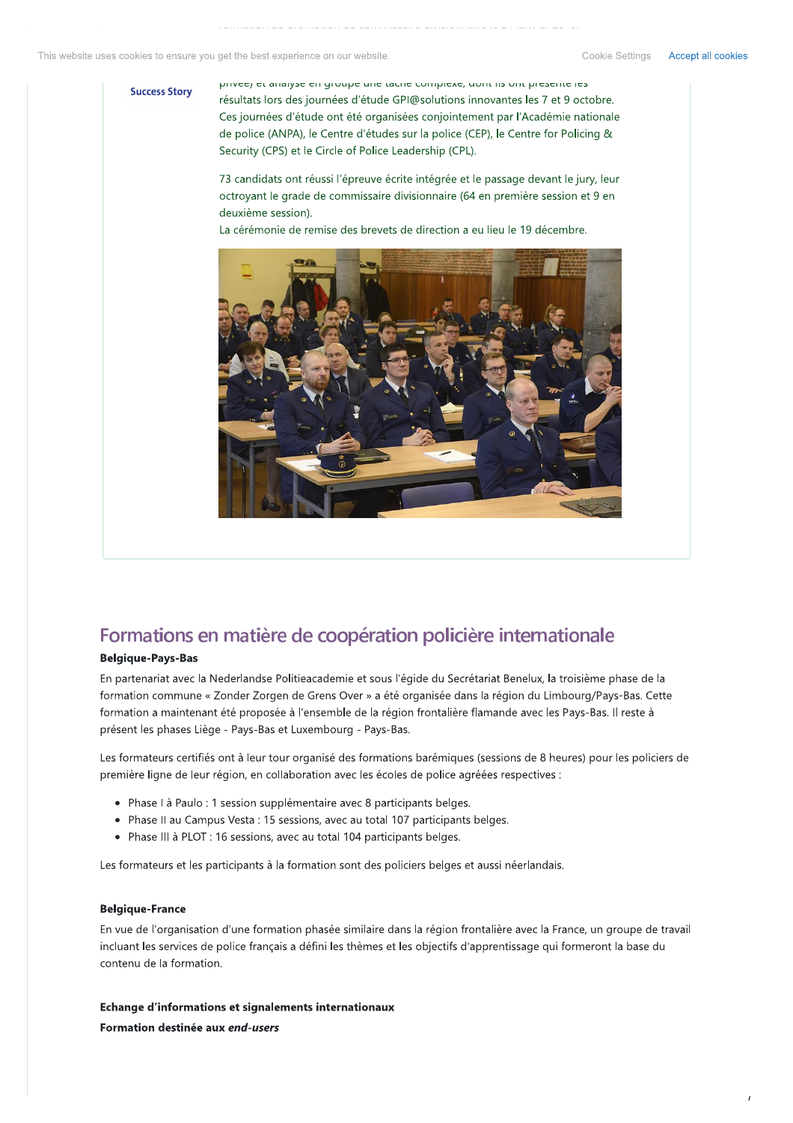#### **Success Story**

prived) er anaryse en groupe une tache complexe, uont iis ont presente les résultats lors des journées d'étude GPI@solutions innovantes les 7 et 9 octobre. Ces journées d'étude ont été organisées conjointement par l'Académie nationale de police (ANPA), le Centre d'études sur la police (CEP), le Centre for Policing & Security (CPS) et le Circle of Police Leadership (CPL).

73 candidats ont réussi l'épreuve écrite intégrée et le passage devant le jury, leur octroyant le grade de commissaire divisionnaire (64 en première session et 9 en deuxième session).

La cérémonie de remise des brevets de direction a eu lieu le 19 décembre.



## Formations en matière de coopération policière internationale

### **Belgique-Pays-Bas**

En partenariat avec la Nederlandse Politieacademie et sous l'égide du Secrétariat Benelux, la troisième phase de la formation commune « Zonder Zorgen de Grens Over » a été organisée dans la région du Limbourg/Pays-Bas. Cette formation a maintenant été proposée à l'ensemble de la région frontalière flamande avec les Pays-Bas. Il reste à présent les phases Liège - Pays-Bas et Luxembourg - Pays-Bas.

Les formateurs certifiés ont à leur tour organisé des formations barémiques (sessions de 8 heures) pour les policiers de première ligne de leur région, en collaboration avec les écoles de police agréées respectives :

- Phase I à Paulo : 1 session supplémentaire avec 8 participants belges.
- Phase II au Campus Vesta : 15 sessions, avec au total 107 participants belges.
- Phase III à PLOT : 16 sessions, avec au total 104 participants belges.

Les formateurs et les participants à la formation sont des policiers belges et aussi néerlandais.

#### **Belgique-France**

En vue de l'organisation d'une formation phasée similaire dans la région frontalière avec la France, un groupe de travail incluant les services de police français a défini les thèmes et les objectifs d'apprentissage qui formeront la base du contenu de la formation.

Echange d'informations et signalements internationaux Formation destinée aux end-users